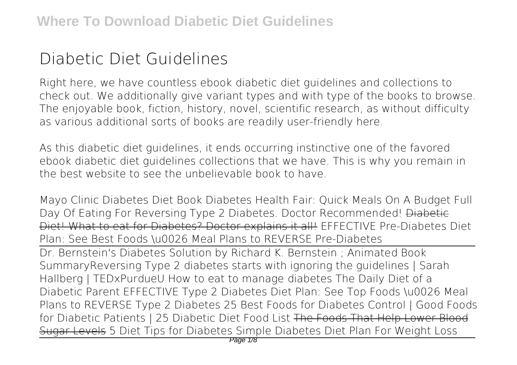## **Diabetic Diet Guidelines**

Right here, we have countless ebook **diabetic diet guidelines** and collections to check out. We additionally give variant types and with type of the books to browse. The enjoyable book, fiction, history, novel, scientific research, as without difficulty as various additional sorts of books are readily user-friendly here.

As this diabetic diet guidelines, it ends occurring instinctive one of the favored ebook diabetic diet guidelines collections that we have. This is why you remain in the best website to see the unbelievable book to have.

**Mayo Clinic Diabetes Diet Book** Diabetes Health Fair: Quick Meals On A Budget Full Day Of Eating For Reversing Type 2 Diabetes. Doctor Recommended! Diabetic Diet! What to eat for Diabetes? Doctor explains it all! EFFECTIVE Pre-Diabetes Diet Plan: See Best Foods \u0026 Meal Plans to REVERSE Pre-Diabetes

Dr. Bernstein's Diabetes Solution by Richard K. Bernstein ; Animated Book Summary*Reversing Type 2 diabetes starts with ignoring the guidelines | Sarah Hallberg | TEDxPurdueU* How to eat to manage diabetes *The Daily Diet of a Diabetic Parent EFFECTIVE Type 2 Diabetes Diet Plan: See Top Foods \u0026 Meal Plans to REVERSE Type 2 Diabetes* **25 Best Foods for Diabetes Control | Good Foods for Diabetic Patients | 25 Diabetic Diet Food List** The Foods That Help Lower Blood Sugar Levels *5 Diet Tips for Diabetes Simple Diabetes Diet Plan For Weight Loss*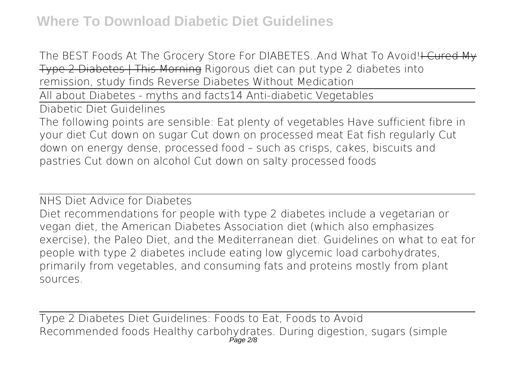The BEST Foods At The Grocery Store For DIABETES. And What To Avoid!<del>I Cured My</del> Type 2 Diabetes | This Morning **Rigorous diet can put type 2 diabetes into remission, study finds Reverse Diabetes Without Medication**

All about Diabetes - myths and facts**14 Anti-diabetic Vegetables**

Diabetic Diet Guidelines

The following points are sensible: Eat plenty of vegetables Have sufficient fibre in your diet Cut down on sugar Cut down on processed meat Eat fish regularly Cut down on energy dense, processed food – such as crisps, cakes, biscuits and pastries Cut down on alcohol Cut down on salty processed foods

NHS Diet Advice for Diabetes Diet recommendations for people with type 2 diabetes include a vegetarian or vegan diet, the American Diabetes Association diet (which also emphasizes exercise), the Paleo Diet, and the Mediterranean diet. Guidelines on what to eat for people with type 2 diabetes include eating low glycemic load carbohydrates, primarily from vegetables, and consuming fats and proteins mostly from plant sources.

Type 2 Diabetes Diet Guidelines: Foods to Eat, Foods to Avoid Recommended foods Healthy carbohydrates. During digestion, sugars (simple Page 2/8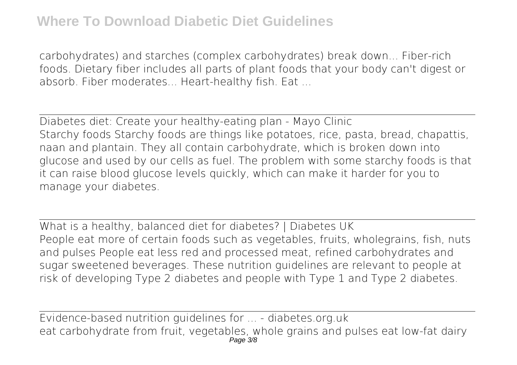carbohydrates) and starches (complex carbohydrates) break down... Fiber-rich foods. Dietary fiber includes all parts of plant foods that your body can't digest or absorb. Fiber moderates... Heart-healthy fish. Eat ...

Diabetes diet: Create your healthy-eating plan - Mayo Clinic Starchy foods Starchy foods are things like potatoes, rice, pasta, bread, chapattis, naan and plantain. They all contain carbohydrate, which is broken down into glucose and used by our cells as fuel. The problem with some starchy foods is that it can raise blood glucose levels quickly, which can make it harder for you to manage your diabetes.

What is a healthy, balanced diet for diabetes? | Diabetes UK People eat more of certain foods such as vegetables, fruits, wholegrains, fish, nuts and pulses People eat less red and processed meat, refined carbohydrates and sugar sweetened beverages. These nutrition guidelines are relevant to people at risk of developing Type 2 diabetes and people with Type 1 and Type 2 diabetes.

Evidence-based nutrition guidelines for ... - diabetes.org.uk eat carbohydrate from fruit, vegetables, whole grains and pulses eat low-fat dairy Page 3/8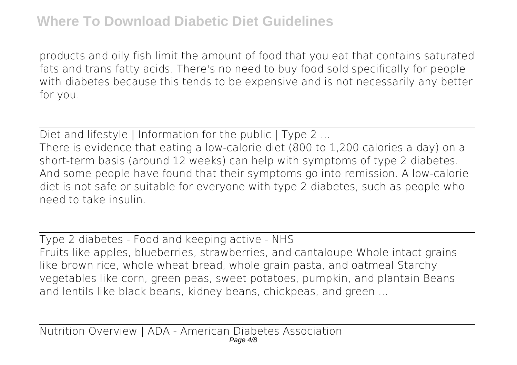products and oily fish limit the amount of food that you eat that contains saturated fats and trans fatty acids. There's no need to buy food sold specifically for people with diabetes because this tends to be expensive and is not necessarily any better for you.

Diet and lifestyle | Information for the public | Type 2 ...

There is evidence that eating a low-calorie diet (800 to 1,200 calories a day) on a short-term basis (around 12 weeks) can help with symptoms of type 2 diabetes. And some people have found that their symptoms go into remission. A low-calorie diet is not safe or suitable for everyone with type 2 diabetes, such as people who need to take insulin.

Type 2 diabetes - Food and keeping active - NHS Fruits like apples, blueberries, strawberries, and cantaloupe Whole intact grains like brown rice, whole wheat bread, whole grain pasta, and oatmeal Starchy vegetables like corn, green peas, sweet potatoes, pumpkin, and plantain Beans and lentils like black beans, kidney beans, chickpeas, and green ...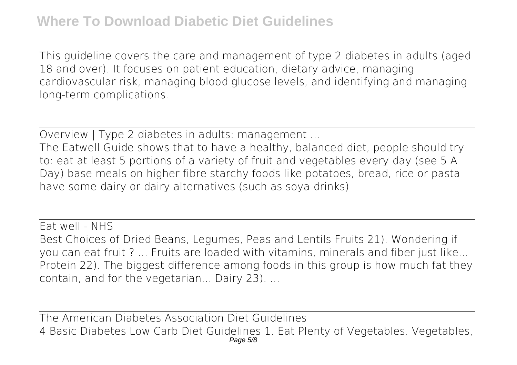This guideline covers the care and management of type 2 diabetes in adults (aged 18 and over). It focuses on patient education, dietary advice, managing cardiovascular risk, managing blood glucose levels, and identifying and managing long-term complications.

Overview | Type 2 diabetes in adults: management ...

The Eatwell Guide shows that to have a healthy, balanced diet, people should try to: eat at least 5 portions of a variety of fruit and vegetables every day (see 5 A Day) base meals on higher fibre starchy foods like potatoes, bread, rice or pasta have some dairy or dairy alternatives (such as soya drinks)

Eat well - NHS Best Choices of Dried Beans, Legumes, Peas and Lentils Fruits 21). Wondering if you can eat fruit ? ... Fruits are loaded with vitamins, minerals and fiber just like... Protein 22). The biggest difference among foods in this group is how much fat they contain, and for the vegetarian... Dairy 23). ...

The American Diabetes Association Diet Guidelines 4 Basic Diabetes Low Carb Diet Guidelines 1. Eat Plenty of Vegetables. Vegetables, Page 5/8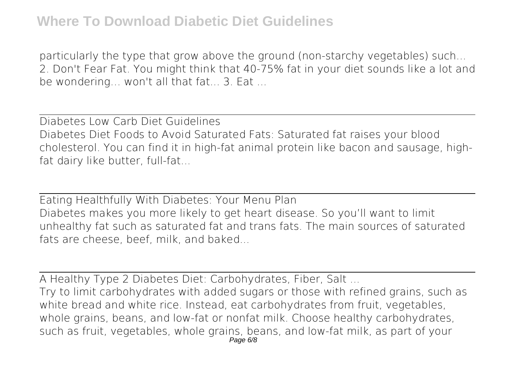particularly the type that grow above the ground (non-starchy vegetables) such... 2. Don't Fear Fat. You might think that 40-75% fat in your diet sounds like a lot and be wondering... won't all that fat... 3. Eat ...

Diabetes Low Carb Diet Guidelines Diabetes Diet Foods to Avoid Saturated Fats: Saturated fat raises your blood cholesterol. You can find it in high-fat animal protein like bacon and sausage, highfat dairy like butter, full-fat...

Eating Healthfully With Diabetes: Your Menu Plan Diabetes makes you more likely to get heart disease. So you'll want to limit unhealthy fat such as saturated fat and trans fats. The main sources of saturated fats are cheese, beef, milk, and baked...

A Healthy Type 2 Diabetes Diet: Carbohydrates, Fiber, Salt ... Try to limit carbohydrates with added sugars or those with refined grains, such as white bread and white rice. Instead, eat carbohydrates from fruit, vegetables, whole grains, beans, and low-fat or nonfat milk. Choose healthy carbohydrates, such as fruit, vegetables, whole grains, beans, and low-fat milk, as part of your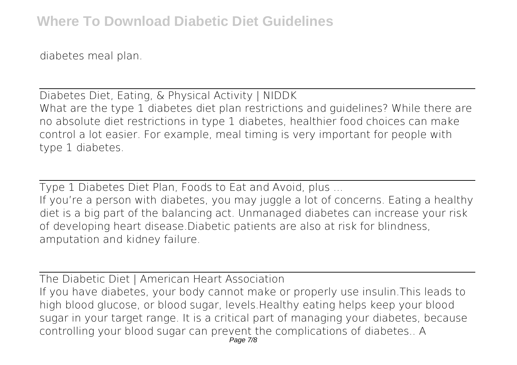diabetes meal plan.

Diabetes Diet, Eating, & Physical Activity | NIDDK What are the type 1 diabetes diet plan restrictions and guidelines? While there are no absolute diet restrictions in type 1 diabetes, healthier food choices can make control a lot easier. For example, meal timing is very important for people with type 1 diabetes.

Type 1 Diabetes Diet Plan, Foods to Eat and Avoid, plus ...

If you're a person with diabetes, you may juggle a lot of concerns. Eating a healthy diet is a big part of the balancing act. Unmanaged diabetes can increase your risk of developing heart disease.Diabetic patients are also at risk for blindness, amputation and kidney failure.

The Diabetic Diet | American Heart Association If you have diabetes, your body cannot make or properly use insulin.This leads to high blood glucose, or blood sugar, levels.Healthy eating helps keep your blood sugar in your target range. It is a critical part of managing your diabetes, because controlling your blood sugar can prevent the complications of diabetes.. A